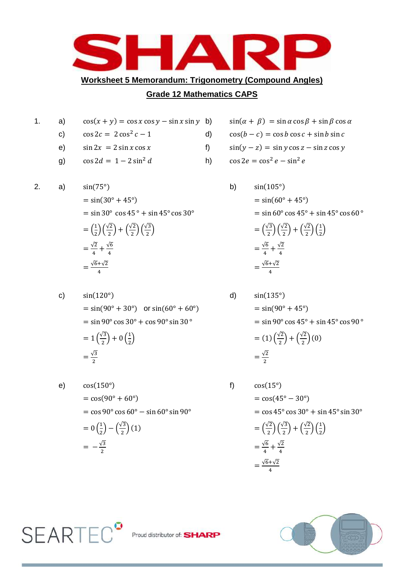

## **Grade 12 Mathematics CAPS**

- 1. a)  $cos(x + y) = cos x cos y sin x sin y$  b) c)  $\cos 2c = 2 \cos^2 c - 1$  d) e)  $\sin 2x = 2 \sin x \cos x$  f) g)  $\cos 2d = 1 - 2 \sin^2 d$  h)  $\cos 2e = \cos^2 e - \sin^2 e$
- 2. a)  $sin(75^\circ)$  b)  $= \sin(30^{\circ} + 45^{\circ})$  $=$  sin 30 $^{\circ}$  cos 45 $^{\circ}$  + sin 45 $^{\circ}$  cos 30 $^{\circ}$  $=\left(\frac{1}{2}\right)\left(\frac{\sqrt{2}}{2}\right)+\left(\frac{\sqrt{2}}{2}\right)\left(\frac{\sqrt{3}}{2}\right)$

$$
= \left(\frac{1}{2}\right)\left(\frac{1}{2}\right) + \left(\frac{1}{2}\right)\left(\frac{1}{2}\right)
$$

$$
= \frac{\sqrt{2}}{4} + \frac{\sqrt{6}}{4}
$$

$$
= \frac{\sqrt{6} + \sqrt{2}}{4}
$$

c) 
$$
\sin(120^{\circ})
$$
  
\n $= \sin(90^{\circ} + 30^{\circ})$  or  $\sin(60^{\circ} + 60^{\circ})$   
\n $= \sin 90^{\circ} \cos 30^{\circ} + \cos 90^{\circ} \sin 30^{\circ}$   
\n $= 1(\frac{\sqrt{3}}{2}) + 0(\frac{1}{2})$   
\n $= \frac{\sqrt{3}}{2}$   
\n $= \frac{\sqrt{3}}{2}$   
\n $= \frac{\sqrt{2}}{2}$   
\n $= \frac{\sqrt{2}}{2}$ 

e) 
$$
\cos(150^{\circ})
$$
  
\n $= \cos(90^{\circ} + 60^{\circ})$   
\n $= \cos 90^{\circ} \cos 60^{\circ} - \sin 60^{\circ} \sin 90^{\circ}$   
\n $= 0(\frac{1}{2}) - (\frac{\sqrt{3}}{2})(1)$   
\n $= -\frac{\sqrt{3}}{2}$   
\n $= -\frac{\sqrt{3}}{2}$   
\nf)  $\cos(15^{\circ})$   
\n $= \cos(45^{\circ} - 30^{\circ})$   
\n $= \cos 45^{\circ} \cos 30^{\circ}$   
\n $= (\frac{\sqrt{2}}{2})(\frac{\sqrt{3}}{2}) + (\frac{\sqrt{2}}{2})^{\circ}$   
\n $= -\frac{\sqrt{6}}{2} + \frac{\sqrt{2}}{4}$ 

**SEARTEC<sup>°</sup>** 

$$
\sin(\alpha + \beta) = \sin \alpha \cos \beta + \sin \beta \cos \alpha
$$

$$
\cos(b - c) = \cos b \cos c + \sin b \sin c
$$

$$
\sin(y - z) = \sin y \cos z - \sin z \cos y
$$

$$
\begin{array}{rcl}\n\text{bin } 45^{\circ} \cos 30^{\circ} & = \sin(60^{\circ} + 45^{\circ}) \\
& = \sin 60^{\circ} \cos 45^{\circ} + \sin 45^{\circ} \cos 60^{\circ} \\
& = \left(\frac{\sqrt{3}}{2}\right) \left(\frac{\sqrt{2}}{2}\right) + \left(\frac{\sqrt{2}}{2}\right) \left(\frac{1}{2}\right) \\
& = \frac{\sqrt{6}}{4} + \frac{\sqrt{2}}{4} \\
& = \frac{\sqrt{6} + \sqrt{2}}{4}\n\end{array}
$$

3) 
$$
\sin(135^\circ)
$$
  
\n=  $\sin(90^\circ + 45^\circ)$   
\n=  $\sin 90^\circ \cos 45^\circ + \sin 45^\circ \cos 90^\circ$   
\n=  $(1) \left(\frac{\sqrt{2}}{2}\right) + \left(\frac{\sqrt{2}}{2}\right)(0)$   
\n=  $\frac{\sqrt{2}}{2}$ 

f) 
$$
\cos(15^{\circ})
$$
  
=  $\cos(45^{\circ} - 30^{\circ})$   
=  $\cos 45^{\circ} \cos 30^{\circ} + \sin 45^{\circ} \sin 30^{\circ}$   
=  $\left(\frac{\sqrt{2}}{2}\right) \left(\frac{\sqrt{3}}{2}\right) + \left(\frac{\sqrt{2}}{2}\right) \left(\frac{1}{2}\right)$   
=  $\frac{\sqrt{6}}{4} + \frac{\sqrt{2}}{4}$   
=  $\frac{\sqrt{6} + \sqrt{2}}{4}$ 

4



Proud distributor of: **SHARP**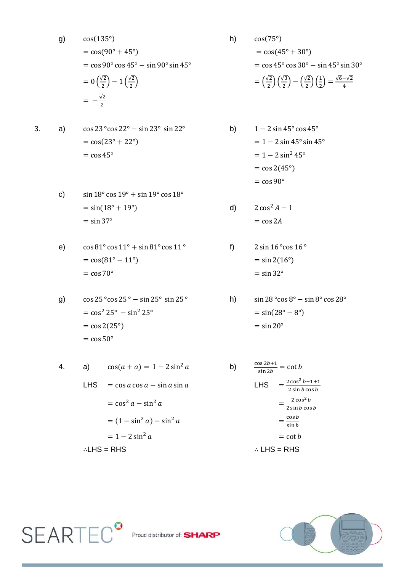g) 
$$
cos(135^\circ)
$$
  
\n $= cos(90^\circ + 45^\circ)$   
\n $= cos 90^\circ cos 45^\circ - sin 90^\circ sin 45^\circ$   
\n $= 0(\frac{\sqrt{2}}{2}) - 1(\frac{\sqrt{2}}{2})$   
\n $= -\frac{\sqrt{2}}{2}$   
\n $= -\frac{\sqrt{2}}{2}$   
\n $= -\frac{\sqrt{2}}{2}$ 

3. **a)** 
$$
cos 23° cos 22° - sin 23° sin 22°
$$
 **b)** 1  
=  $cos(23° + 22°)$    
=  $cos 45°$  **c**

- c)  $\sin 18^\circ \cos 19^\circ + \sin 19^\circ \cos 18^\circ$  $= \sin(18^\circ + 19^\circ)$  $=$  sin 37 $^{\circ}$
- e)  $\cos 81^\circ \cos 11^\circ + \sin 81^\circ \cos 11^\circ$  f)  $2 \sin 16^\circ \cos 16^\circ$  $= cos(81^\circ - 11^\circ)$   $= sin 2(16^\circ)$  $=$  cos 70 $^{\circ}$

g) 
$$
\cos 25^{\circ} \cos 25^{\circ} - \sin 25^{\circ} \sin 25^{\circ}
$$
  
\n $= \cos^2 25^{\circ} - \sin^2 25^{\circ}$   
\n $= \cos 2(25^{\circ})$   
\n $= \cos 50^{\circ}$   
\n $= \cos 50^{\circ}$   
\n $= \sin 20^{\circ}$ 

4. a) 
$$
cos(a + a) = 1 - 2 sin^2 a
$$
  
\nLHS =  $cos a cos a - sin a sin a$   
\n $= cos^2 a - sin^2 a$   
\n $= (1 - sin^2 a) - sin^2 a$   
\n $= 1 - 2 sin^2 a$   
\n $\therefore LHS = RHS$   
\nLHS =  $\frac{2 cos b}{2 sin b}$   
\n $= \frac{2 cos b}{sin b}$   
\n $= cot B$   
\n $\therefore LHS = RHS$ 

 $= cos(45^{\circ} + 30^{\circ})$  $=$  cos 45 $\degree$  cos 30 $\degree$  - sin 45 $\degree$  sin 30 $\degree$  $\binom{12}{2}$  $\left(\frac{\sqrt{3}}{2}\right)$  $\binom{\sqrt{3}}{2} - \binom{\sqrt{2}}{2}$  $\binom{12}{2}$  $\left(\frac{1}{2}\right)$  $\binom{1}{2} = \frac{\sqrt{6}-\sqrt{2}}{4}$ 4

$$
1 - 2\sin 45^{\circ} \cos 45^{\circ}
$$
  
= 1 - 2\sin 45^{\circ} \sin 45^{\circ}  
= 1 - 2\sin^2 45^{\circ}  
= \cos 2(45^{\circ})  
= \cos 90^{\circ}

d) 
$$
2 \cos^2 A - 1
$$

$$
= \cos 2A
$$

 $=$  sin 32 $^{\circ}$ 

h) 
$$
\sin 28^\circ \cos 8^\circ - \sin 8^\circ \cos 28^\circ
$$

$$
= \sin(28^\circ - 8^\circ)
$$

$$
= \sin 20^\circ
$$

$$
\frac{\cos 2b + 1}{\sin 2b} = \cot b
$$
  
\nLHS 
$$
= \frac{2 \cos^2 b - 1 + 1}{2 \sin b \cos b}
$$

$$
= \frac{2 \cos^2 b}{2 \sin b \cos b}
$$

$$
= \frac{\cos b}{\sin b}
$$

$$
= \cot b
$$
  
\n
$$
\therefore \text{HSS} = \text{RHS}
$$



 $\mathsf{SEARTEC}^{\bullet}$  Proud distributor of: SHARP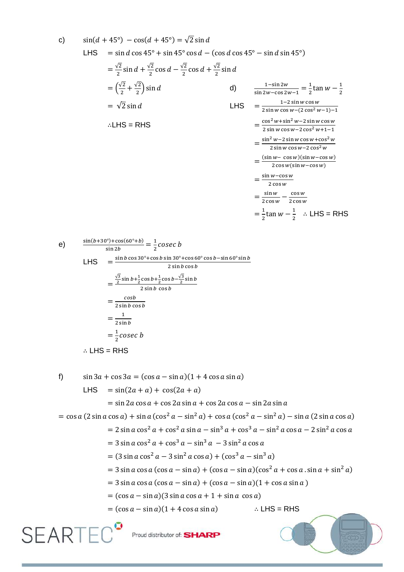c) 
$$
\sin(A + 45^\circ) - \cos(A + 45^\circ) = \sqrt{2} \sin A
$$
  
\nLHS =  $\sin A \cos 45^\circ + \sin 45^\circ \cos A - (\cos A \cos 45^\circ - \sin A \sin 45^\circ)$   
\n $= \frac{\sqrt{2}}{2} \sin A + \frac{\sqrt{2}}{2} \cos A - \frac{\sqrt{2}}{2} \cos A + \frac{\sqrt{2}}{2} \sin A$   
\n $= (\frac{\sqrt{2}}{2} + \frac{\sqrt{2}}{2}) \sin A$   
\n $= \sqrt{2} \sin A$   
\n $= \sqrt{2} \sin A$   
\n $\therefore$  LHS = RHS  
\n $\therefore$  LHS = RHS  
\n $\therefore$  LHS = RHS  
\n $= \frac{\cos^2 w + \sin^2 w - 2 \cos^2 w + 1 - 1}{2 \sin w \cos w - 2 \cos^2 w + 1 - 1}$   
\n $= \frac{\sin^2 w - 2 \sin w \cos w - \cos^2 w}{2 \sin w \cos w - 2 \cos^2 w + 1 - 1}$   
\n $= \frac{\sin^2 w - 2 \sin w \cos w + \cos^2 w}{2 \cos w \sin w - 2 \cos^2 w + 1 - 1}$   
\n $= \frac{\sin w - \cos w}{2 \cos w \sin w - \cos^2 w}$   
\n $= \frac{\sin w - \cos w}{2 \cos w \sin w - \cos^2 w}$   
\n $= \frac{\sin w - \cos w}{2 \cos w}$   
\n $= \frac{\sin w - \cos w}{2 \cos w}$   
\n $= \frac{\sin w - \cos w}{2 \cos w}$   
\n $= \frac{\sin w - \cos w}{2 \cos w}$   
\n $= \frac{\sin b \cos 30^\circ + \cos b \sin 30^\circ + \cos 60^\circ \cos b - \sin 60^\circ \sin b}{2 \sin b \cos b}$   
\n $= \frac{\frac{\sqrt{3}}{2} \sin b \cos b}{2 \sin b \cos b}$   
\n $= \frac{\cos b}{2 \sin b \cos b}$   
\n $= \frac{1}{2 \sin b}$   
\n $= \frac{1}{2} \cos c c$   
\n $\therefore$  LHS = RHS  
\nf) 

$$
1.7 \quad 3.113d + 1.653d = (cos d - sin d)(1 + 1.653d sin d)
$$
\n
$$
= sin (2a + a) + cos (2a + a)
$$
\n
$$
= sin 2a cos a + cos 2a sin a + cos 2a cos a - sin 2a sin a
$$
\n
$$
= cos a (2 sin a cos a) + sin a (cos2 a - sin2 a) + cos a (cos2 a - sin2 a) - sin a (2 sin a cos a)
$$
\n
$$
= 2 sin a cos2 a + cos2 a sin a - sin3 a + cos3 a - sin2 a cos a - 2 sin2 a cos a
$$
\n
$$
= 3 sin a cos2 a - 3 sin2 a cos a) + (cos3 a - sin3 a)
$$
\n
$$
= 3 sin a cos a (cos a - sin a) + (cos a - sin a)(cos2 a + cos a . sin a + sin2 a)
$$
\n
$$
= 3 sin a cos a (cos a - sin a) + (cos a - sin a)(1 + cos a sin a)
$$
\n
$$
= (cos a - sin a)(3 sin a cos a + 1 + sin a cos a)
$$
\n
$$
= (cos a - sin a)(1 + 4 cos a sin a) \qquad \therefore LHS = RHS
$$
\n
$$
\sum \bigcup \text{Proud distributor of: SHARP}
$$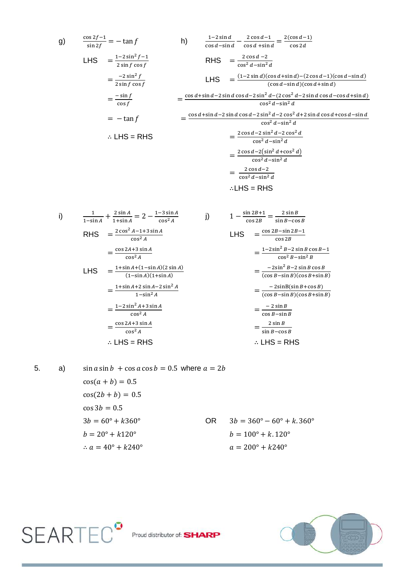g) 
$$
\frac{\cos 2f - 1}{\sin 2f} = -\tan f
$$
  
\n
$$
\begin{aligned}\n\text{LHS} &= \frac{1 - 2\sin^2 f - 1}{2\sin f \cos f} \\
&= \frac{-2\sin^2 f}{2\sin f \cos f}\n\end{aligned}
$$
\nRHS 
$$
\begin{aligned}\n&= \frac{2\cos d - 2}{\cos^2 d - \sin^2 d} \\
&= \frac{-2\sin^2 f}{2\sin f \cos f}\n\end{aligned}
$$
\nRHS 
$$
\begin{aligned}\n&= \frac{(1 - 2\sin d)(\cos d + \sin d) - (2\cos d - 1)(\cos d - \sin d)}{(\cos d - \sin d)(\cos d + \sin d)} \\
&= \frac{-\sin f}{\cos f} \\
&= -\tan f \\
\therefore \text{LHS} &= \text{RHS}\n\end{aligned}
$$
\n
$$
\begin{aligned}\n&= \frac{\cos d + \sin d - 2\sin d \cos d - 2\sin^2 d - (2\cos^2 d - 2\sin d \cos d - \cos d + \sin d)}{(\cos^2 d - \sin^2 d)} \\
&= \frac{2\cos d - 2\sin^2 d - 2\cos^2 d + 2\sin d \cos d + \cos d - \sin d}{\cos^2 d - \sin^2 d} \\
&= \frac{2\cos d - 2\sin^2 d - 2\cos^2 d}{\cos^2 d - \sin^2 d} \\
&= \frac{2\cos d - 2\sin^2 d - 2\cos^2 d}{\cos^2 d - \sin^2 d} \\
&= \frac{2\cos d - 2\sin^2 d + \cos^2 d}{\cos^2 d - \sin^2 d} \\
&= \frac{2\cos d - 2\sin^2 d + \cos^2 d}{\cos^2 d - \sin^2 d} \\
&= \frac{2\cos d - 2\sin^2 d}{\cos^2 d - \sin^2 d} \\
&= \frac{2\cos d - 2\sin^2 d}{\cos^2 d - \sin^2 d}\n\end{aligned}
$$

 $\mathbf c$ 

∴LHS = RHS

i) 
$$
\frac{1}{1-\sin A} + \frac{2 \sin A}{1+\sin A} = 2 - \frac{1-3 \sin A}{\cos^2 A}
$$
  
\nRHS 
$$
= \frac{2 \cos^2 A - 1 + 3 \sin A}{\cos^2 A}
$$
  
\n
$$
= \frac{\cos 2A + 3 \sin A}{\cos^2 A}
$$
  
\nLHS 
$$
= \frac{1-2 \sin^2 B - 2 \sin B \cos B - 1}{\cos^2 B}
$$
  
\nLHS 
$$
= \frac{1-2 \sin^2 B - 2 \sin B \cos B - 1}{\cos^2 B - \sin^2 B}
$$
  
\nLHS 
$$
= \frac{1 + \sin A + (1 - \sin A)(2 \sin A)}{(1 - \sin A)(1 + \sin A)}
$$
  
\n
$$
= \frac{1 + \sin A + 2 \sin A - 2 \sin^2 A}{1 - \sin^2 A}
$$
  
\n
$$
= \frac{1 - 2 \sin^2 A + 3 \sin A}{\cos^2 A}
$$
  
\n
$$
= \frac{1 - 2 \sin^2 A + 3 \sin A}{\cos^2 A}
$$
  
\n
$$
= \frac{\cos 2A + 3 \sin A}{\cos^2 A}
$$
  
\n
$$
\therefore \text{ LHS} = \text{RHS}
$$
  
\n
$$
\therefore \text{ LHS} = \text{RHS}
$$
  
\n
$$
\therefore \text{ LHS} = \text{RHS}
$$

5. a)  $\sin a \sin b + \cos a \cos b = 0.5$  where  $a = 2b$  $cos(a + b) = 0.5$  $cos(2b + b) = 0.5$  $\cos 3b = 0.5$  $3b = 60^{\circ} + k360^{\circ}$  OR  $3b = 360^{\circ} - 60^{\circ} + k.360^{\circ}$  $b=20^{\circ}+k120^{\circ}$  $b = 100^{\circ} + k.120^{\circ}$ ∴  $a = 40^\circ + k240^\circ$  $a = 200^{\circ} + k240^{\circ}$ 



SEARTEC<sup>9</sup> Proud distributor of: SHARP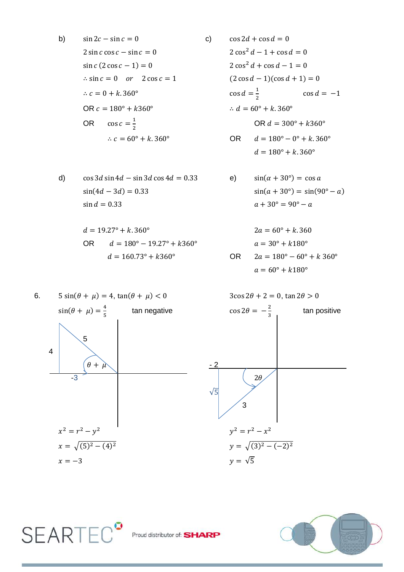b) c) ( ) ∴ OR ∴ OR ∴ OR

d) 
$$
\cos 3d \sin 4d - \sin 3d \cos 4d = 0.33
$$
  
\ne)  $\sin(\alpha + 30^{\circ}) = \cos a$   
\n $\sin(4d - 3d) = 0.33$   
\ne)  $\sin(\alpha + 30^{\circ}) = \cos a$   
\n $\sin(a + 30^{\circ}) = \sin(90^{\circ} - a)$   
\n $a + 30^{\circ} = 90^{\circ} - a$ 

$$
d = 19.27^{\circ} + k.360^{\circ}
$$
  
\nOR 
$$
d = 180^{\circ} - 19.27^{\circ} + k360^{\circ}
$$
  
\n
$$
d = 160.73^{\circ} + k360^{\circ}
$$
 OR 2

6. ( ) , ( ) , ( ) tan negative 5 4 - 2 -3 √( ) ( ) √( ) √

**SEARTEC<sup>o</sup>** 

 $2\cos^2 d - 1 + \cos d = 0$  $2\cos^2 d + \cos d - 1 = 0$  $(2 \cos d - 1)(\cos d + 1) = 0$  $\mathbf{1}$  $\cos d = -1$  $\overline{\mathbf{c}}$ OR  $d = 300^{\circ} + k360^{\circ}$ 

$$
d = 180^{\circ} + k.360^{\circ}
$$

$$
d = 180^{\circ} + k.360^{\circ}
$$

sin(
$$
\alpha + 30^{\circ}
$$
) = cos  $a$   
\nsin( $\alpha + 30^{\circ}$ ) = sin(90<sup>o</sup> -  $a$ )  
\n $a + 30^{\circ} = 90^{\circ} - a$ 

$$
2a = 60^{\circ} + k.360
$$
  
\n
$$
a = 30^{\circ} + k180^{\circ}
$$
  
\n
$$
2a = 180^{\circ} - 60^{\circ} + k 360^{\circ}
$$
  
\n
$$
a = 60^{\circ} + k180^{\circ}
$$

 tan positive √ 3 ( ) 



Proud distributor of: **SHARP**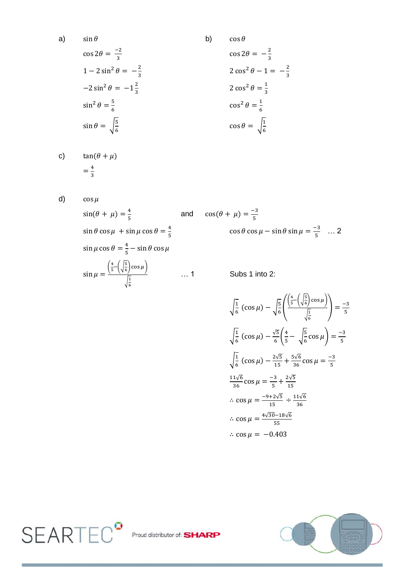$$
\sin \theta
$$
\n
$$
\cos 2\theta = \frac{-2}{3}
$$
\n
$$
1 - 2\sin^2 \theta = -\frac{2}{3}
$$
\n
$$
-2\sin^2 \theta = -1\frac{2}{3}
$$
\n
$$
\sin^2 \theta = \frac{5}{6}
$$
\n
$$
\sin \theta = \sqrt{\frac{5}{6}}
$$
\n
$$
\cos \theta = \sqrt{\frac{1}{6}}
$$
\n
$$
\cos \theta = \sqrt{\frac{1}{6}}
$$
\n
$$
\cos \theta = \sqrt{\frac{1}{6}}
$$

c) 
$$
\tan(\theta + \mu) = \frac{4}{3}
$$

d) 
$$
\cos \mu
$$

 $a)$ 

$$
\sin(\theta + \mu) = \frac{4}{5}
$$
 and  
\n
$$
\sin \theta \cos \mu + \sin \mu \cos \theta = \frac{4}{5}
$$
  
\n
$$
\sin \mu \cos \theta = \frac{4}{5} - \sin \theta \cos \mu
$$
  
\n
$$
\sin \mu = \frac{\left(\frac{4}{5} - \left(\sqrt{\frac{5}{6}}\right) \cos \mu\right)}{\sqrt{\frac{1}{6}}}
$$
 ... 1

$$
\cos(\theta + \mu) = \frac{-3}{5}
$$
  

$$
\cos \theta \cos \mu - \sin \theta \sin \mu = \frac{-3}{5} \dots 2
$$

. 1 Subs 1 into 2:

$$
\sqrt{\frac{1}{6}} \left( \cos \mu \right) - \sqrt{\frac{5}{6}} \left( \frac{\left( \frac{4}{5} - \left( \sqrt{\frac{5}{6}} \right) \cos \mu \right)}{\sqrt{\frac{1}{6}}} \right) = \frac{-3}{5}
$$
  

$$
\sqrt{\frac{1}{6}} \left( \cos \mu \right) - \frac{\sqrt{5}}{6} \left( \frac{4}{5} - \sqrt{\frac{5}{6}} \cos \mu \right) = \frac{-3}{5}
$$
  

$$
\sqrt{\frac{1}{6}} \left( \cos \mu \right) - \frac{2\sqrt{5}}{15} + \frac{5\sqrt{6}}{36} \cos \mu = \frac{-3}{5}
$$
  

$$
\frac{11\sqrt{6}}{36} \cos \mu = \frac{-3}{5} + \frac{2\sqrt{5}}{15}
$$
  

$$
\therefore \cos \mu = \frac{-9 + 2\sqrt{5}}{15} \div \frac{11\sqrt{6}}{36}
$$
  

$$
\therefore \cos \mu = \frac{4\sqrt{30} - 18\sqrt{6}}{55}
$$
  

$$
\therefore \cos \mu = -0.403
$$



SEARTEC<sup>o</sup> Proud distributor of: SHA 3Þ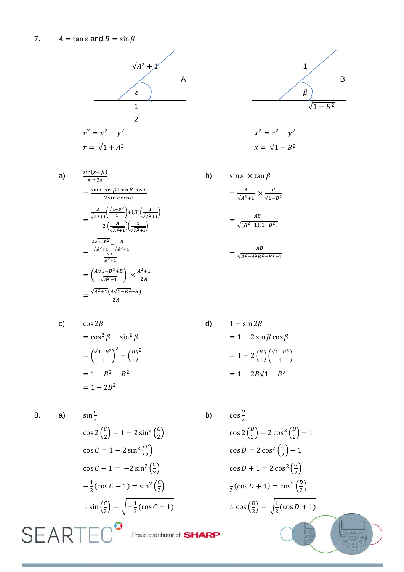7.  $A = \tan \varepsilon$  and  $B = \sin \beta$ 



 $\frac{\sin(\varepsilon+\beta)}{\sin2\varepsilon}$  $a)$  $=\frac{\sin \varepsilon \cos \beta + \sin \beta \cos \varepsilon}{2 \sin \varepsilon \cos \varepsilon}$  $=\frac{\frac{A}{\sqrt{A^2+1}}\left(\frac{\sqrt{1-B^2}}{1}\right)+(B)\left(\frac{1}{\sqrt{A^2+1}}\right)}{2\left(\frac{A}{\sqrt{A^2+1}}\right)\left(\frac{1}{\sqrt{A^2+1}}\right)}$  $=\frac{\frac{A\sqrt{1-B^2}}{\sqrt{A^2+1}}+\frac{B}{\sqrt{A^2+1}}}{\frac{2A}{A^2+1}}$  $= \left(\frac{A \sqrt{1-B^2}+B}{\sqrt{A^2+1}}\right) \times \frac{A^2+1}{2A}$  $=\frac{\sqrt{A^2+1}(A\sqrt{1-B^2}+B)}{2A}$ 

$$
x^{2} = r^{2} - y^{2}
$$
\n
$$
x = \sqrt{1 - B^{2}}
$$
\n
$$
x = \sqrt{1 - B^{2}}
$$

$$
\sin \varepsilon \times \tan \beta
$$
  
=  $\frac{A}{\sqrt{A^2 + 1}} \times \frac{B}{\sqrt{1 - B^2}}$   
=  $\frac{AB}{\sqrt{(A^2 + 1)(1 - B^2)}}$   
=  $\frac{AB}{\sqrt{A^2 - A^2 B^2 - B^2 + 1}}$ 

c)  
\n
$$
\cos 2\beta
$$
\n
$$
= \cos^2 \beta - \sin^2 \beta
$$
\n
$$
= \left(\frac{\sqrt{1 - B^2}}{1}\right)^2 - \left(\frac{B}{1}\right)^2
$$
\n
$$
= 1 - B^2 - B^2
$$
\n
$$
= 1 - 2B^2
$$

$$
f_{\rm{max}}
$$

 $d)$ 

 $b)$ 

8.

 $a)$ 

8. **a)** 
$$
\sin \frac{c}{2}
$$
 **b)**  
\n $\cos 2(\frac{c}{2}) = 1 - 2 \sin^2(\frac{c}{2})$   
\n $\cos c = 1 - 2 \sin^2(\frac{c}{2})$   
\n $\cos c - 1 = -2 \sin^2(\frac{c}{2})$   
\n $-\frac{1}{2}(\cos c - 1) = \sin^2(\frac{c}{2})$   
\n $\therefore \sin(\frac{c}{2}) = \sqrt{-\frac{1}{2}(\cos c - 1)}$   
\n**S EXAMPLE C Proof: SHARP**

$$
1 - \sin 2\beta
$$
  
= 
$$
1 - 2 \sin \beta \cos \beta
$$
  
= 
$$
1 - 2 \left(\frac{B}{1}\right) \left(\frac{\sqrt{1 - B^2}}{1}\right)
$$
  
= 
$$
1 - 2B\sqrt{1 - B^2}
$$

b)  $\cos\frac{D}{2}$  $\cos 2\left(\frac{p}{2}\right) = 2\cos^2\left(\frac{p}{2}\right) - 1$  $\cos D = 2 \cos^2 \left(\frac{D}{2}\right) - 1$  $\cos D + 1 = 2 \cos^2 \left(\frac{D}{2}\right)$  $\frac{1}{2}$ (cos D + 1) = cos<sup>2</sup> $\left(\frac{D}{2}\right)$  $\therefore \cos\left(\frac{D}{2}\right) = \sqrt{\frac{1}{2}(\cos D + 1)}$